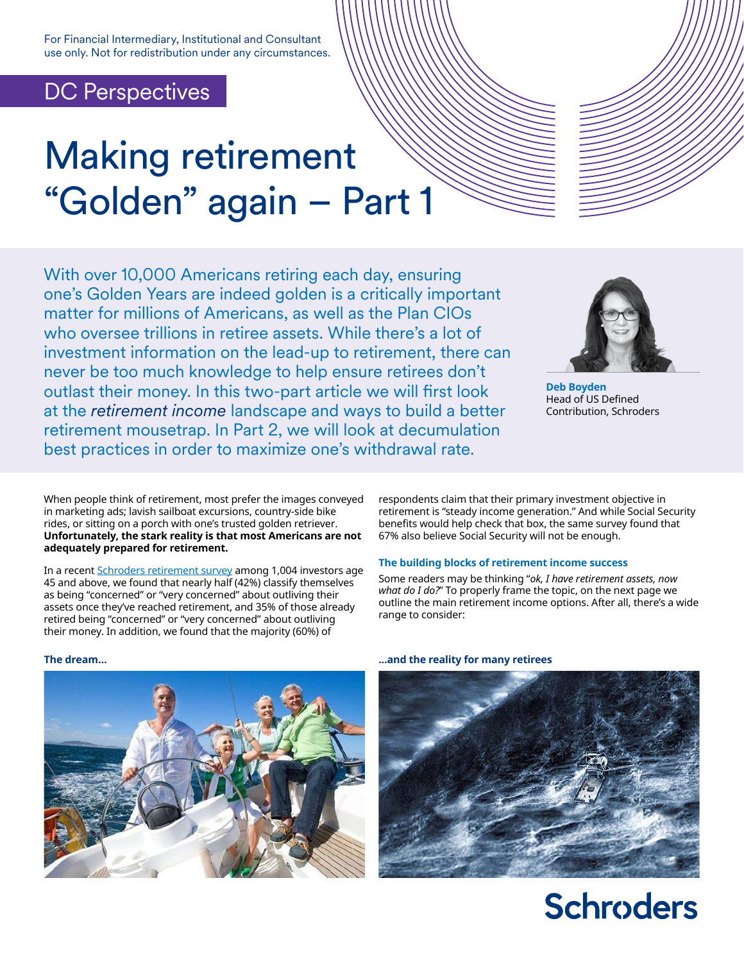For Financial Intermediary, Institutional and Consultant use only. Not for redistribution under any circumstances.

### DC Perspectives

# Making retirement "Golden" again – Part 1

With over 10,000 Americans retiring each day, ensuring one's Golden Years are indeed golden is a critically important matter for millions of Americans, as well as the Plan CIOs who oversee trillions in retiree assets. While there's a lot of investment information on the lead-up to retirement, there can never be too much knowledge to help ensure retirees don't outlast their money. In this two-part article we will first look at the *retirement income* landscape and ways to build a better retirement mousetrap. In Part 2, we will look at decumulation best practices in order to maximize one's withdrawal rate.



**Deb Boyden** Head of US Defined Contribution, Schroders

When people think of retirement, most prefer the images conveyed in marketing ads; lavish sailboat excursions, country-side bike rides, or sitting on a porch with one's trusted golden retriever. **Unfortunately, the stark reality is that most Americans are not adequately prepared for retirement.** 

In a recent [Schroders retirement survey](https://www.schroders.com/en/us/institutional/dc/draft-retirement-survey/) among 1,004 investors age 45 and above, we found that nearly half (42%) classify themselves as being "concerned" or "very concerned" about outliving their assets once they've reached retirement, and 35% of those already retired being "concerned" or "very concerned" about outliving their money. In addition, we found that the majority (60%) of

respondents claim that their primary investment objective in retirement is "steady income generation." And while Social Security benefits would help check that box, the same survey found that 67% also believe Social Security will not be enough.

#### **The building blocks of retirement income success**

Some readers may be thinking "*ok, I have retirement assets, now what do I do?*" To properly frame the topic, on the next page we outline the main retirement income options. After all, there's a wide range to consider:





## **Schroders**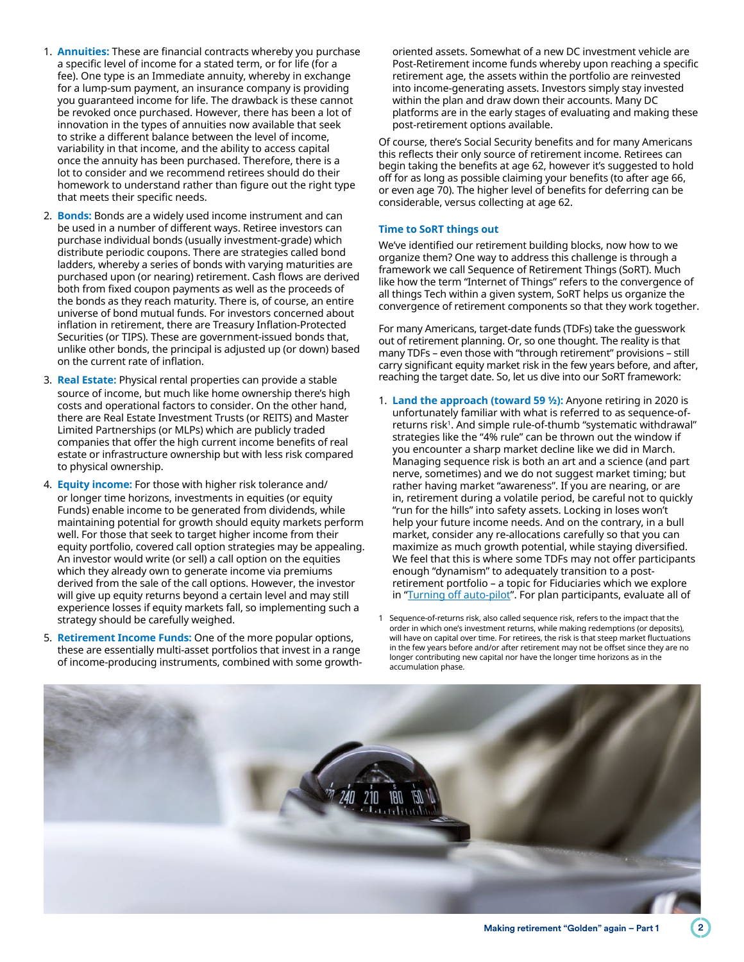- 1. **Annuities:** These are financial contracts whereby you purchase a specific level of income for a stated term, or for life (for a fee). One type is an Immediate annuity, whereby in exchange for a lump-sum payment, an insurance company is providing you guaranteed income for life. The drawback is these cannot be revoked once purchased. However, there has been a lot of innovation in the types of annuities now available that seek to strike a different balance between the level of income, variability in that income, and the ability to access capital once the annuity has been purchased. Therefore, there is a lot to consider and we recommend retirees should do their homework to understand rather than figure out the right type that meets their specific needs.
- 2. **Bonds:** Bonds are a widely used income instrument and can be used in a number of different ways. Retiree investors can purchase individual bonds (usually investment-grade) which distribute periodic coupons. There are strategies called bond ladders, whereby a series of bonds with varying maturities are purchased upon (or nearing) retirement. Cash flows are derived both from fixed coupon payments as well as the proceeds of the bonds as they reach maturity. There is, of course, an entire universe of bond mutual funds. For investors concerned about inflation in retirement, there are Treasury Inflation-Protected Securities (or TIPS). These are government-issued bonds that, unlike other bonds, the principal is adjusted up (or down) based on the current rate of inflation.
- 3. **Real Estate:** Physical rental properties can provide a stable source of income, but much like home ownership there's high costs and operational factors to consider. On the other hand, there are Real Estate Investment Trusts (or REITS) and Master Limited Partnerships (or MLPs) which are publicly traded companies that offer the high current income benefits of real estate or infrastructure ownership but with less risk compared to physical ownership.
- 4. **Equity income:** For those with higher risk tolerance and/ or longer time horizons, investments in equities (or equity Funds) enable income to be generated from dividends, while maintaining potential for growth should equity markets perform well. For those that seek to target higher income from their equity portfolio, covered call option strategies may be appealing. An investor would write (or sell) a call option on the equities which they already own to generate income via premiums derived from the sale of the call options. However, the investor will give up equity returns beyond a certain level and may still experience losses if equity markets fall, so implementing such a strategy should be carefully weighed.
- 5. **Retirement Income Funds:** One of the more popular options, these are essentially multi-asset portfolios that invest in a range of income-producing instruments, combined with some growth-

oriented assets. Somewhat of a new DC investment vehicle are Post-Retirement income funds whereby upon reaching a specific retirement age, the assets within the portfolio are reinvested into income-generating assets. Investors simply stay invested within the plan and draw down their accounts. Many DC platforms are in the early stages of evaluating and making these post-retirement options available.

Of course, there's Social Security benefits and for many Americans this reflects their only source of retirement income. Retirees can begin taking the benefits at age 62, however it's suggested to hold off for as long as possible claiming your benefits (to after age 66, or even age 70). The higher level of benefits for deferring can be considerable, versus collecting at age 62.

#### **Time to SoRT things out**

We've identified our retirement building blocks, now how to we organize them? One way to address this challenge is through a framework we call Sequence of Retirement Things (SoRT). Much like how the term "Internet of Things" refers to the convergence of all things Tech within a given system, SoRT helps us organize the convergence of retirement components so that they work together.

For many Americans, target-date funds (TDFs) take the guesswork out of retirement planning. Or, so one thought. The reality is that many TDFs – even those with "through retirement" provisions – still carry significant equity market risk in the few years before, and after, reaching the target date. So, let us dive into our SoRT framework:

- 1. **Land the approach (toward 59 ½):** Anyone retiring in 2020 is unfortunately familiar with what is referred to as sequence-ofreturns risk<sup>1</sup>. And simple rule-of-thumb "systematic withdrawal" strategies like the "4% rule" can be thrown out the window if you encounter a sharp market decline like we did in March. Managing sequence risk is both an art and a science (and part nerve, sometimes) and we do not suggest market timing; but rather having market "awareness". If you are nearing, or are in, retirement during a volatile period, be careful not to quickly "run for the hills" into safety assets. Locking in loses won't help your future income needs. And on the contrary, in a bull market, consider any re-allocations carefully so that you can maximize as much growth potential, while staying diversified. We feel that this is where some TDFs may not offer participants enough "dynamism" to adequately transition to a postretirement portfolio – a topic for Fiduciaries which we explore in "[Turning off auto-pilot](https://www.schroders.com/en/us/institutional/thought-leadership/retirement-perspectives/turning-off-auto-pilot/)". For plan participants, evaluate all of
- 1 Sequence-of-returns risk, also called sequence risk, refers to the impact that the order in which one's investment returns, while making redemptions (or deposits), will have on capital over time. For retirees, the risk is that steep market fluctuations in the few years before and/or after retirement may not be offset since they are no longer contributing new capital nor have the longer time horizons as in the accumulation phase.

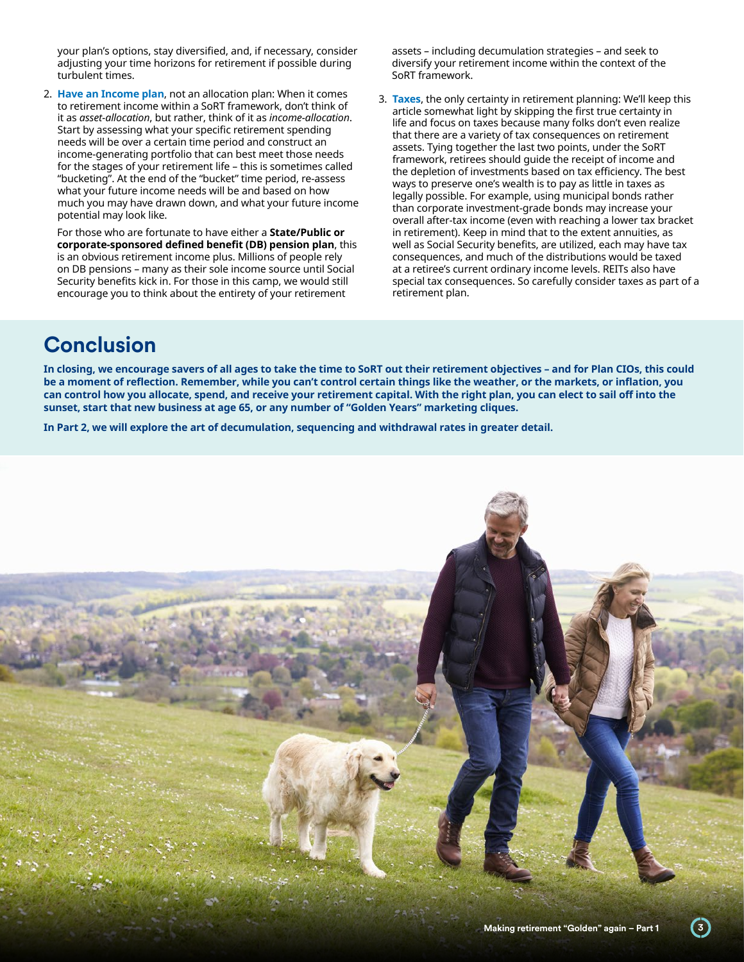your plan's options, stay diversified, and, if necessary, consider adjusting your time horizons for retirement if possible during turbulent times.

2. **Have an Income plan**, not an allocation plan: When it comes to retirement income within a SoRT framework, don't think of it as *asset-allocation*, but rather, think of it as *income-allocation*. Start by assessing what your specific retirement spending needs will be over a certain time period and construct an income-generating portfolio that can best meet those needs for the stages of your retirement life – this is sometimes called "bucketing". At the end of the "bucket" time period, re-assess what your future income needs will be and based on how much you may have drawn down, and what your future income potential may look like.

For those who are fortunate to have either a **State/Public or corporate-sponsored defined benefit (DB) pension plan**, this is an obvious retirement income plus. Millions of people rely on DB pensions – many as their sole income source until Social Security benefits kick in. For those in this camp, we would still encourage you to think about the entirety of your retirement

assets – including decumulation strategies – and seek to diversify your retirement income within the context of the SoRT framework.

3. **Taxes**, the only certainty in retirement planning: We'll keep this article somewhat light by skipping the first true certainty in life and focus on taxes because many folks don't even realize that there are a variety of tax consequences on retirement assets. Tying together the last two points, under the SoRT framework, retirees should guide the receipt of income and the depletion of investments based on tax efficiency. The best ways to preserve one's wealth is to pay as little in taxes as legally possible. For example, using municipal bonds rather than corporate investment-grade bonds may increase your overall after-tax income (even with reaching a lower tax bracket in retirement). Keep in mind that to the extent annuities, as well as Social Security benefits, are utilized, each may have tax consequences, and much of the distributions would be taxed at a retiree's current ordinary income levels. REITs also have special tax consequences. So carefully consider taxes as part of a retirement plan.

## **Conclusion**

**In closing, we encourage savers of all ages to take the time to SoRT out their retirement objectives – and for Plan CIOs, this could be a moment of reflection. Remember, while you can't control certain things like the weather, or the markets, or inflation, you can control how you allocate, spend, and receive your retirement capital. With the right plan, you can elect to sail off into the sunset, start that new business at age 65, or any number of "Golden Years" marketing cliques.**

**In Part 2, we will explore the art of decumulation, sequencing and withdrawal rates in greater detail.**